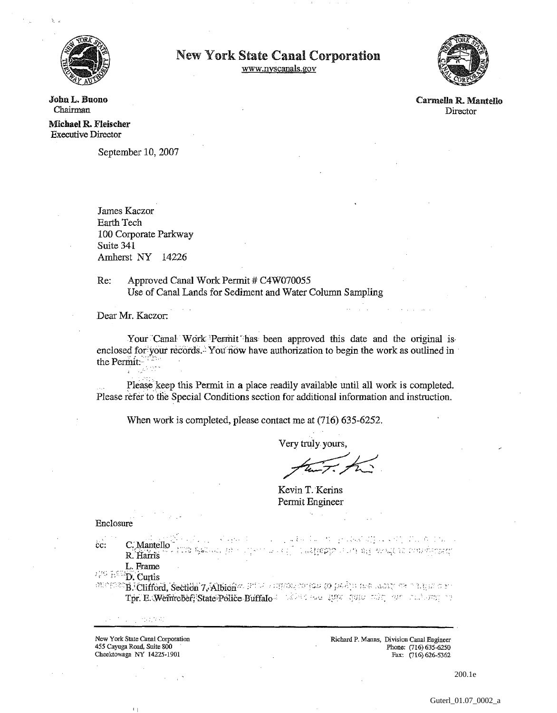

## **New York State Canal Corporation**

www.nyscanals.gov



Carmella R. Mantello Director

John L. Buono Chairman

Michael R. Fleischer **Executive Director** 

September 10, 2007

James Kaczor Earth Tech 100 Corporate Parkway Suite 341 Amherst NY 14226

Approved Canal Work Permit # C4W070055 Re: Use of Canal Lands for Sediment and Water Column Sampling

Dear Mr. Kaczor:

Your Canal Work Permit has been approved this date and the original is enclosed for your records. You now have authorization to begin the work as outlined in the Permit.

Please keep this Permit in a place readily available until all work is completed. Please refer to the Special Conditions section for additional information and instruction.

When work is completed, please contact me at (716) 635-6252.

Very truly yours,

Kevin T. Kerins Permit Engineer

Enclosure

cc.

r i para tir de l'alla diplomi del capo.  $\omega$  -space  $\omega$ C. Mantello NG KALUG, 72 and for the special and the second of the contract of the second second second second second second second second second second second second second second second second second second second second second second second sec R. Harris L. Frame

THE INC. Curtis

on other B. Clifford, Section 7, Albion 2, 1992 and comparison problem are more on a sign of the Tpr. E. Wenneber, State Police Buffalo de la conservación quanto par conservación

New York State Canal Corporation 455 Cayuga Road, Suite 800 Cheektowaga NY 14225-1901

1. 小型动物

Richard P. Manns, Division Canal Engineer Phone: (716) 635-6250 Fax: (716) 626-5362

200.1e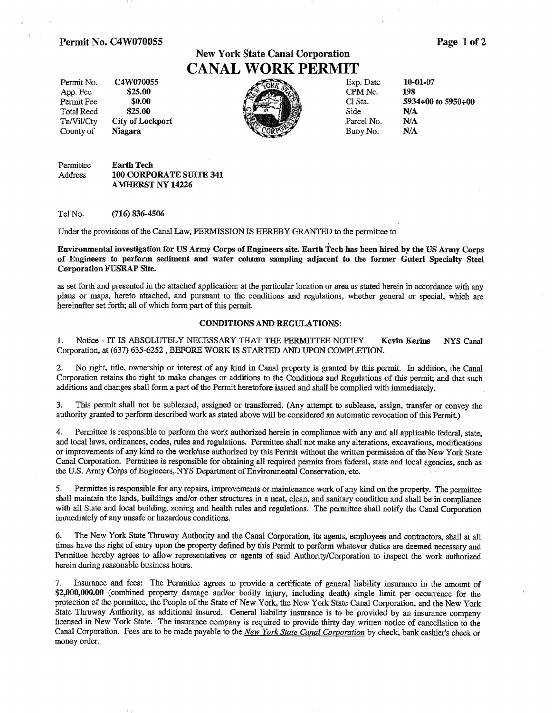#### **Permit No. C4W070055 Page 1 of 2**

# **New York State Canal Corporation CANAL WORK PERMIT**



Permit Fee \$0.00 \$25.00 **Permit Fee** \$0.00 **Cl Sta.** 5934+00 to 5950+00 **Cl** State 5934+00 to 5950+00

Permittee **Earth Tech**<br>Address **100 CORPO** Address **100** CORPORATE **SUITE 341 AMHERST NY 14226** 

Tel No. **(716)** 836-4506

Under the provisions of the CanaI Law, PERMISSION IS HEREBY GRANTED to the permittee to

**Environmental investigation for US Army Corps of Engineers site. Earth Tech has been hired by the US Army Corps of Engineers to perform sediment and water column sampling adjacent to the former Guterl Specialty Steel Corporation FUSRAP Site.** 

as set forth and presented in the attached application: at the particular location or area as stated herein in accordance with any plans or maps, hereto attached, and pursuant to the conditions and regulations, whether general or special, which are hereinafter set forth, all of which form part of this permit.

#### **CONDITIONS AND REGULATIONS:**

I. Notice - IT IS ABSOLUTELY NECESSARY THAT THE PERMITTEE NOTIFY **Kevin Kerins** NYS **Cam1**  Corporation, at **(637)** 635-6252 , BEFORE **WORK** IS STARTED AND **UPON** COMPLETION.

2. No right, title, ownership or interest of any kind in Canal property is granted by this permit. In addition, the Canal Corporation retains **the** right to make changes or additions to the Conditions and Regulations of this permit; and that such additions and changes shall form a part of the Permit heretofore issued and shall be complied with immediately.

**3.** This permit shall not be subleased, assigned or transferred. (Any attempt to sublease, assign, transfer or convey the authority granted to perform described work as stated above will be considered an automatic revocation of this Permit.)

4. Permittee is responsible to perform the work authorized herein in compliance with any and all applicable federal, state, and local laws, ordinances, codes, rules and regulations. Permittee shall not make any alterations, excavations, modifications or improvements of any kind to the work/use authorized by this Permit without the written permission of the New York State Canal Corporation. Permittee is responsible for obtaining **all** required permits from federal, state and local agencies, such as the U.S. Army Corps of Engineers, NYS Department of Environmental Conservation, etc.

**5.** Permittee is responsible for any repairs, improvements or maintenance work of any kind on the property. The permittee shall maintain the lands, buildings and/or other structures in a neat, clean, and sanitary condition and shall be in compliance with all State and local building, zoning and health rules and regulations. The permittee shall notify the Canal Corporation immediately of any unsafe or hazardous conditions.

*6.* The New York State Thruway Authority and the Canal Corporation, its agents, employees and contractors, shall at all times have the right of entry upon the property defined by this Permit to perform whatever duties **are** deemed necessary and Permittee hereby agrees to allow representatives or agents of said Authority/Corporation to inspect the work authorized herein during reasonable business hours.

Insurance and fees: The Permittee agrees to provide a certificate of general liability insurance in the amount of **\$2,000,000.00** (combined property damage andlor bodily injury, including death) single limit per occurrence for the protection of the permittee, the People of the State of New York, the New York State Canal Corporation, and the New York State Thruway Authority, as additional insured. General liability insurance is to be provided by an insurance company licensed in New York State. **The** insurance company is required to provide thirty day written notice of cancellation to **the**  Canal. Corporation. Fees are to be made payable to the New *York State Canal Corporation* by check, bank cashier's check or money order.